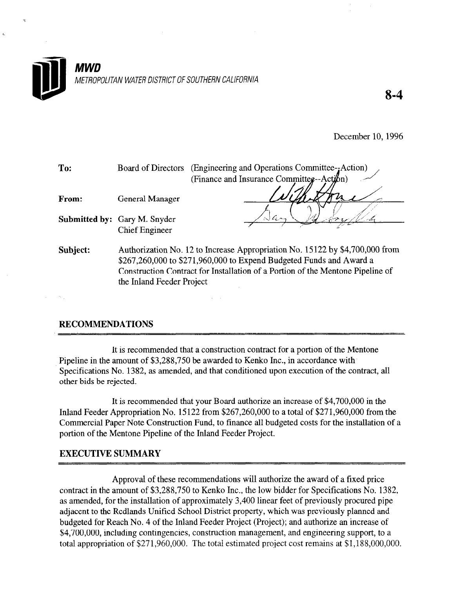

8-4

December 10, 1996

| To:      |                                                              | Board of Directors (Engineering and Operations Committee--Action)<br>(Finance and Insurance Committee--Action)                                      |  |  |  |
|----------|--------------------------------------------------------------|-----------------------------------------------------------------------------------------------------------------------------------------------------|--|--|--|
| From:    | <b>General Manager</b>                                       |                                                                                                                                                     |  |  |  |
|          | <b>Submitted by:</b> Gary M. Snyder<br><b>Chief Engineer</b> | G r                                                                                                                                                 |  |  |  |
| Subject: |                                                              | Authorization No. 12 to Increase Appropriation No. 15122 by \$4,700,000 from<br>\$267,260,000 to \$271,960,000 to Expend Budgeted Funds and Award a |  |  |  |
|          | the Inland Feeder Project                                    | Construction Contract for Installation of a Portion of the Mentone Pipeline of                                                                      |  |  |  |

## RECOMMENDATIONS

It is recommended that a construction contract for a portion of the Mentone It is recommended that a construction contract for a portion of the N Pipeline in the amount of \$3,288,750 be awarded to Kenko Inc., in accordance with Specifications No. 1382, as amended, and that conditioned upon execution of the contract, all other bids be rejected.

 $\omega = \omega$ 

It is recommended that  $\mathcal{L}_\mathcal{B}$  is recommended that  $\mathcal{L}_\mathcal{B}$  and  $\mathcal{L}_\mathcal{B}$  in the  $\mathcal{L}_\mathcal{B}$ It is recommended that your Board authorize an increase of \$4,700,000 in the Inland Feeder Appropriation No. 15122 from  $$267,260,000$  to a total of  $$271,960,000$  from the Commercial Paper Note Construction Fund, to finance all budgeted costs for the installation of a portion of the Mentone Pipeline of the Inland Feeder Project.

## **EXECUTIVE SUMMARY**

Approval of these recommendations will authorize the award of a fixed price. contract in the amount of \$3,288,750 to Kenko Inc., the low bidder for Specifications No. 1382, as amended, for the installation of approximately 3,400 linear feet of previously procured pipe adjacent to the Redlands Unified School District property, which was previously planned and budgeted for Reach No. 4 of the Inland Feeder Project (Project); and authorize an increase of \$4,700,000, including contingencies, construction management, and engineering support, to a total appropriation of \$271,960,000. The total estimated project cost remains at \$1,188,000,000.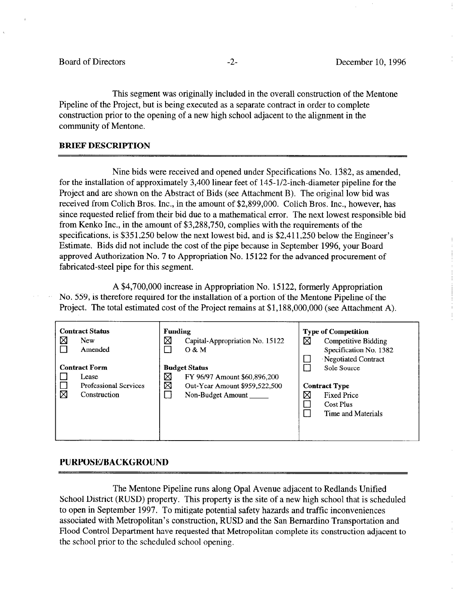This segment was originally included in the overall construction of the Mentone Pipeline of the Project, but is being executed as a separate contract in order to complete construction prior to the opening of a new high school adjacent to the alignment in the community of Mentone.

### BRIEF DESCRIPTION

Nine bids were received and opened under Specifications No. 1382, as amended, for the installation of approximately 3,400 linear feet of 145-l/2-inch-diameter pipeline for the Project and are shown on the Abstract of Bids (see Attachment B). The original low bid was received from Colich Bros. Inc., in the amount of \$2,899,000. Colich Bros. Inc., however, has since requested relief from their bid due to a mathematical error. The next lowest responsible bid from Kenko Inc., in the amount of \$3,288,750, complies with the requirements of the specifications, is \$351,250 below the next lowest bid, and is \$2,411,250 below the Engineer's Estimate. Bids did not include the cost of the pipe because in September 1996, your Board approved Authorization No. 7 to Appropriation No. 15122 for the advanced procurement of fabricated-steel pipe for this segment.

A \$4,700,000 increase in Appropriation No. 15 122, formerly Appropriation No. 559, is therefore required for the installation of a portion of the Mentone Pipeline of the Project. The total estimated cost of the Project remains at \$1,188,000,000 (see Attachment A).

| 区 | <b>Contract Status</b><br><b>New</b><br>Amended                               | <b>Funding</b><br>⊠ | Capital-Appropriation No. 15122<br>O & M                                                                   | ⊠ | <b>Type of Competition</b><br>Competitive Bidding<br>Specification No. 1382<br>Negotiated Contract |
|---|-------------------------------------------------------------------------------|---------------------|------------------------------------------------------------------------------------------------------------|---|----------------------------------------------------------------------------------------------------|
| ⊠ | <b>Contract Form</b><br>Lease<br><b>Professional Services</b><br>Construction | ⊠<br>⊠              | <b>Budget Status</b><br>FY 96/97 Amount \$60,896,200<br>Out-Year Amount \$959,522,500<br>Non-Budget Amount | X | Sole Source<br><b>Contract Type</b><br><b>Fixed Price</b><br>Cost Plus<br>Time and Materials       |

### PURPOSE/BACKGROUND

The Mentone Pipeline runs along Opal Avenue adjacent to Redlands Unified School District (RUSD) property. This property is the site of a new high school that is scheduled to open in September 1997. To mitigate potential safety hazards and traffic inconveniences associated with Metropolitan's construction, RUSD and the San Bernardino Transportation and Flood Control Department have requested that Metropolitan complete its construction adjacent to the school prior to the scheduled school opening.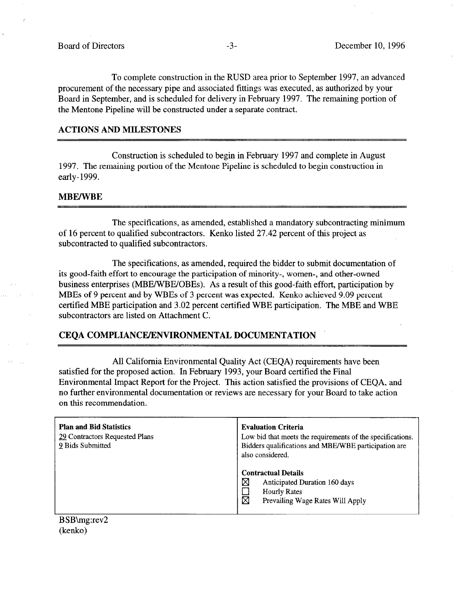To complete construction in the RUSD area prior to September 1997, an advanced procurement of the necessary pipe and associated fittings was executed, as authorized by your Board in September, and is scheduled for delivery in February 1997. The remaining portion of the Mentone Pipeline will be constructed under a separate contract.

### ACTIONS AND MILESTONES

Construction is scheduled to begin in February 1997 and complete in August 1997. The remaining portion of the Mentone Pipeline is scheduled to begin construction in early- 1999.

### MBE/WBE

The specifications, as amended, established a mandatory subcontracting minimum of 16 percent to qualified subcontractors. Kenko listed 27.42 percent of this project as subcontracted to qualified subcontractors.

The specifications, as amended, required the bidder to submit documentation of its good-faith effort to encourage the participation of minority-, women-, and other-owned business enterprises (MBE/WBE/QBEs). As a result of this good-faith effort, participation by MBEs of 9 percent and by WBEs of 3 percent was expected. Kenko achieved 9.09 percent certified MBE participation and 3.02 percent certified WBE participation. The MBE and WBE subcontractors are listed on Attachment C.

### CEQA COMPLIANCE/ENVIRONMENTAL DOCUMENTATION

All California Environmental Quality Act (CEQA) requirements have been satisfied for the proposed action. In February 1993, your Board certified the Final Environmental Impact Report for the Project. This action satisfied the provisions of CEQA, and no further environmental documentation or reviews are necessary for your Board to take action on this recommendation.

| <b>Plan and Bid Statistics</b><br>29 Contractors Requested Plans<br>9 Bids Submitted | <b>Evaluation Criteria</b><br>Low bid that meets the requirements of the specifications.<br>Bidders qualifications and MBE/WBE participation are<br>also considered. |  |  |
|--------------------------------------------------------------------------------------|----------------------------------------------------------------------------------------------------------------------------------------------------------------------|--|--|
|                                                                                      | <b>Contractual Details</b><br>⊠<br>Anticipated Duration 160 days<br><b>Hourly Rates</b><br>$\boxtimes$<br>Prevailing Wage Rates Will Apply                           |  |  |

## BSB\mg:rev2 (kenko)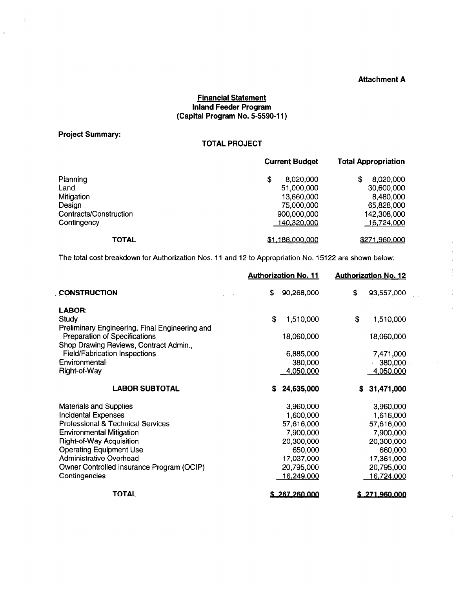### Attachment A

 $\hat{\boldsymbol{\beta}}$  $\frac{1}{2}$ 

÷

 $\sim$ 

## Financial Statement Inland Feeder Program (Capital Program No. 5-5590-l 1)

Project Summary:

 $\ddot{\mathcal{L}}$ 

 $\tilde{\mathcal{A}}$ 

## TOTAL PROJECT

|                        | <b>Current Budget</b> | <b>Total Appropriation</b> |  |
|------------------------|-----------------------|----------------------------|--|
| Planning               | 8,020,000<br>\$       | \$<br>8,020,000            |  |
| Land                   | 51,000,000            | 30,600,000                 |  |
| Mitigation             | 13,660,000            | 8,480,000                  |  |
| Design                 | 75,000,000            | 65,828,000                 |  |
| Contracts/Construction | 900,000,000           | 142,308,000                |  |
| Contingency            | 140,320,000           | 16,724,000                 |  |
| <b>TOTAL</b>           | \$1,188,000,000       | \$271,960,000              |  |

The total cost breakdown for Authorization Nos. 11 and 12 to Appropriation No. 15122 are shown below:

|                                                       | <b>Authorization No. 11</b><br><b>Authorization No. 12</b> |                      |    |                      |
|-------------------------------------------------------|------------------------------------------------------------|----------------------|----|----------------------|
| <b>CONSTRUCTION</b>                                   | \$                                                         | 90,268,000           | \$ | 93,557,000           |
| LABOR:                                                |                                                            |                      |    |                      |
| Study                                                 | \$                                                         | 1,510,000            | \$ | 1,510,000            |
| Preliminary Engineering, Final Engineering and        |                                                            |                      |    |                      |
| <b>Preparation of Specifications</b>                  |                                                            | 18,060,000           |    | 18,060,000           |
| Shop Drawing Reviews, Contract Admin.,                |                                                            |                      |    |                      |
| <b>Field/Fabrication Inspections</b><br>Environmental |                                                            | 6,885,000            |    | 7,471,000            |
| Right-of-Way                                          |                                                            | 380,000<br>4,050,000 |    | 380,000<br>4,050,000 |
|                                                       |                                                            |                      |    |                      |
| <b>LABOR SUBTOTAL</b>                                 | s                                                          | 24,635,000           | S. | 31,471,000           |
| <b>Materials and Supplies</b>                         |                                                            | 3,960,000            |    | 3,960,000            |
| <b>Incidental Expenses</b>                            |                                                            | 1,600,000            |    | 1,616,000            |
| Professional & Technical Services                     |                                                            | 57,616,000           |    | 57,616,000           |
| <b>Environmental Mitigation</b>                       |                                                            | 7,900,000            |    | 7,900,000            |
| <b>Right-of-Way Acquisition</b>                       |                                                            | 20,300,000           |    | 20,300,000           |
| <b>Operating Equipment Use</b>                        |                                                            | 650,000              |    | 660,000              |
| <b>Administrative Overhead</b>                        |                                                            | 17,037,000           |    | 17,361,000           |
| Owner Controlled Insurance Program (OCIP)             |                                                            | 20,795,000           |    | 20,795,000           |
| Contingencies                                         |                                                            | 16,249,000           |    | 16,724,000           |
| <b>TOTAL</b>                                          |                                                            | \$267,260,000        |    | \$271,960,000        |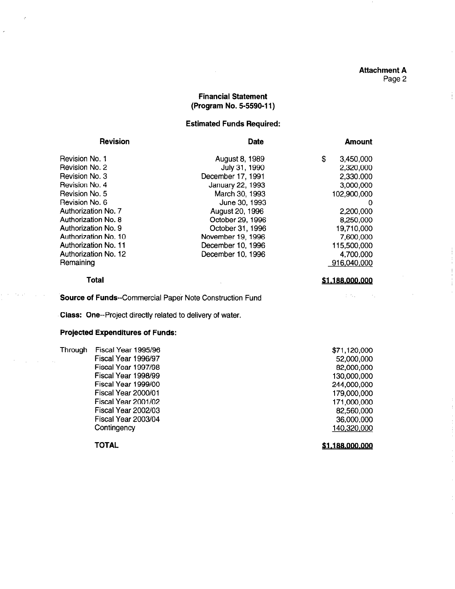#### Attachment A Page 2

### Financial Statement (Program No. 5-5590-l 1)

#### Estimated Funds Required:

| <b>Revision</b>            | <b>Date</b>       | <b>Amount</b>   |
|----------------------------|-------------------|-----------------|
| Revision No. 1             | August 8, 1989    | \$<br>3,450,000 |
| Revision No. 2             | July 31, 1990     | 2,320,000       |
| Revision No. 3             | December 17, 1991 | 2,330.000       |
| Revision No. 4             | January 22, 1993  | 3,000,000       |
| Revision No. 5             | March 30, 1993    | 102,900,000     |
| Revision No. 6             | June 30, 1993     | 0               |
| <b>Authorization No. 7</b> | August 20, 1996   | 2,200,000       |
| Authorization No. 8        | October 29, 1996  | 8,250,000       |
| Authorization No. 9        | October 31, 1996  | 19,710,000      |
| Authorization No. 10       | November 19, 1996 | 7,600,000       |
| Authorization No. 11       | December 10, 1996 | 115,500,000     |
| Authorization No. 12       | December 10, 1996 | 4,700,000       |
| Remaining                  |                   | 916,040,000     |

#### Total

Source of Funds--Commercial Paper Note Construction Fund

Class: One--Project directly related to delivery of water.

#### Projected Expenditures of Funds:

Through Fiscal Year 1995/96 Fiscal Year 1996/97 Fiscal Year 1997198 Fiscal Year 1998/99 Fiscal Year 1999/00 Fiscal Year 2000/01 Fiscal Year 2001/02 Fiscal Year 2002/03 Fiscal Year 2003/04 **Contingency** \$71,120,000 140.320.000

TOTAL

52,600,OOO 82,000,OOO 130,000,000 244,000,OOO 179,000,000 171 ,oOO,ooo 82,560,OOO 36,000,OOO

\$1,188,000,000

 $\frac{1}{2} \left( \frac{1}{2} \right)_{\rm{max}}$ 

 $\sim \lambda_{\rm B}$ 

\$1,188,000,000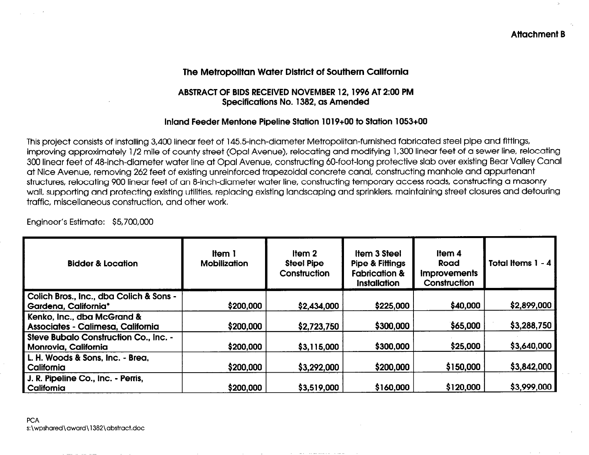# The Metropolitan Water District of Southern California

## ABSTRACT OF BIDS RECEIVED NOVEMBER 12,1996 AT 2:00 PM Specifications No. 1382, as Amended

## Inland Feeder Mentone Pipeline Station 1019+00 to Station 1053+00

This project consists of installing 3,400 linear feet of 145.5-inch-diameter Metropolitan-furnished fabricated steel pipe and fittings, improving approximately l/2 mile of county street (Opal Avenue), relocating and modifying 1,300 linear feet of a sewer line, relocating 300 linear feet of 48-inch-diameter water line at Opal Avenue, constructing 60-foot-long protective slab over existing Bear Valley Canal at Nice Avenue, removing 262 feet of existing unreinforced trapezoidal concrete canal, constructing manhole and appurtenant structures, relocating 900 linear feet of an 8-inch-diameter water line, constructing temporary access roads, constructing a masonry wall, supporting and protecting existing utilities, replacing existing landscaping and sprinklers, maintaining street closures and detouring traffic, miscellaneous construction, and other work.

Engineer's Estimate: \$5700,000

| <b>Bidder &amp; Location</b>                                    | <b>Item 1</b><br><b>Mobilization</b> | Item 2<br><b>Steel Pipe</b><br>Construction | <b>Item 3 Steel</b><br><b>Pipe &amp; Fittings</b><br><b>Fabrication &amp;</b><br><b>Installation</b> | Item 4<br>Road<br><b>Improvements</b><br>Construction | Total Items 1 - 4 |
|-----------------------------------------------------------------|--------------------------------------|---------------------------------------------|------------------------------------------------------------------------------------------------------|-------------------------------------------------------|-------------------|
| Colich Bros., Inc., dba Colich & Sons -<br>Gardena, California* | \$200,000                            | \$2,434,000                                 | \$225,000                                                                                            | \$40,000                                              | \$2,899,000       |
| Kenko, Inc., dba McGrand &<br>Associates - Calimesa, California | \$200,000                            | \$2,723,750                                 | \$300,000                                                                                            | \$65,000                                              | \$3,288,750       |
| Steve Bubalo Construction Co., Inc. -<br>Monrovia, California   | \$200,000                            | \$3,115,000                                 | \$300,000                                                                                            | \$25,000                                              | \$3,640,000       |
| L. H. Woods & Sons, Inc. - Brea,<br>California                  | \$200,000                            | \$3,292,000                                 | \$200,000                                                                                            | \$150,000                                             | \$3,842,000       |
| J. R. Pipeline Co., Inc. - Perris,<br>California                | \$200,000                            | \$3,519,000                                 | \$160,000                                                                                            | \$120,000                                             | \$3,999,000       |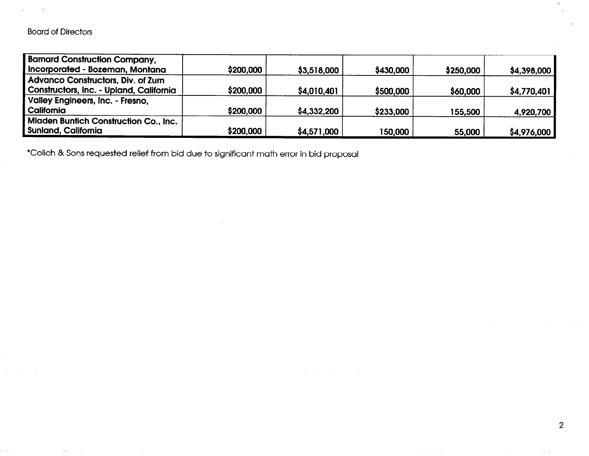$\sim 10^{10}$ 

 $\Lambda$ 

 $\sim$ 

 $\sim 10$ 

 $\rightarrow$ 

| <b>Barnard Construction Company,</b>         |           |             |           |           |             |
|----------------------------------------------|-----------|-------------|-----------|-----------|-------------|
| Incorporated - Bozeman, Montana              | \$200,000 | \$3,518,000 | \$430,000 | \$250,000 | \$4,398,000 |
| Advanco Constructors, Div. of Zurn           |           |             |           |           |             |
| Constructors, Inc. - Upland, California      | \$200,000 | \$4,010,401 | \$500,000 | \$60,000  | \$4,770,401 |
| <b>Valley Engineers, Inc. - Fresno,</b>      |           |             |           |           |             |
| California                                   | \$200,000 | \$4,332,200 | \$233,000 | 155,500   | 4,920,700   |
| <b>Miaden Buntich Construction Co., Inc.</b> |           |             |           |           |             |
| <b>Sunland, California</b>                   | \$200,000 | \$4,571,000 | 150,000   | 55,000    | \$4,976,000 |

 $\mathcal{A}^{\mathcal{A}}$  and  $\mathcal{A}^{\mathcal{A}}$  are  $\mathcal{A}^{\mathcal{A}}$  . In the following

contract and an

2

 $\sim$   $\sim$ 

 $\alpha$  ,  $\beta$  ,  $\alpha$  ,  $\beta$ 

 $\mathcal{Z}$ 

l Colich & Sons requested relief from bid due to significant math error in bid proposal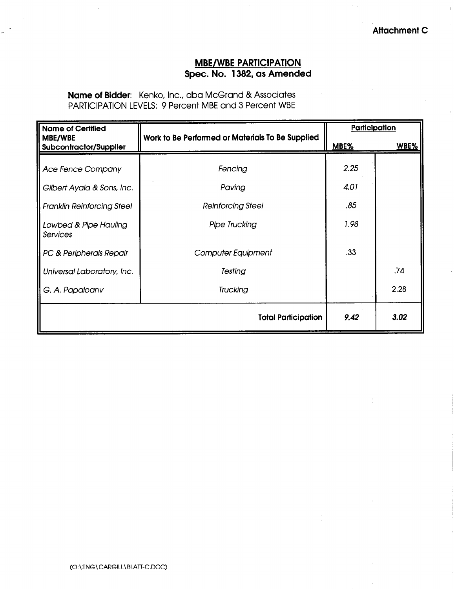# MBE/WBE PARTICIPATION Spec. No. 1382, as Amended

Name of Bidder: Kenko, Inc., dba McGrand & Associates PARTICIPATION LEVELS: 9 Percent MBE and 3 Percent WBE

| <b>Name of Certified</b>                                        |                                                  | Participation |      |
|-----------------------------------------------------------------|--------------------------------------------------|---------------|------|
| MBE/WBE<br><b>Subcontractor/Supplier</b>                        | Work to Be Performed or Materials To Be Supplied | MBE%          | WBE% |
| <b>Ace Fence Company</b>                                        | Fencing                                          | 2.25<br>4.01  |      |
| Gilbert Ayala & Sons, Inc.<br><b>Franklin Reinforcing Steel</b> | Paving<br><b>Reinforcing Steel</b>               | .85           |      |
| Lowbed & Pipe Hauling<br>Services                               | <b>Pipe Trucking</b>                             | 1.98          |      |
| PC & Peripherals Repair                                         | Computer Equipment                               | .33           |      |
| Universal Laboratory, Inc.                                      | Testing                                          |               | .74  |
| Trucking<br>G. A. Papaioanv                                     |                                                  |               | 2.28 |
|                                                                 | <b>Total Participation</b>                       | 9.42          | 3.02 |